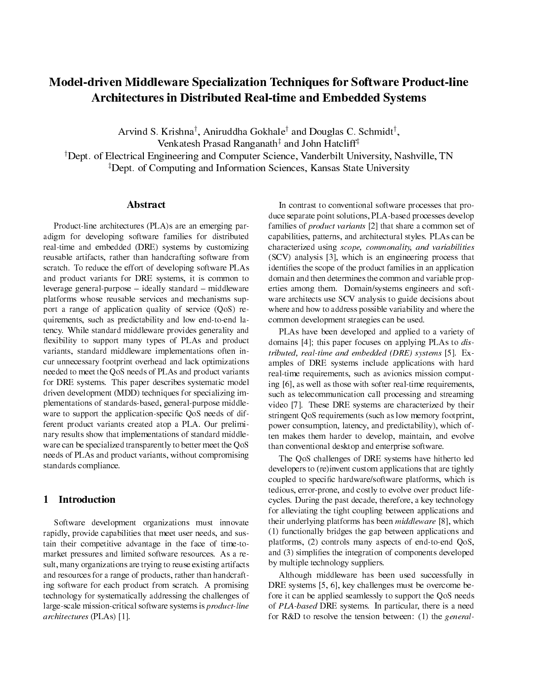# Model-driven Middleware Specialization Techniques for Software Product-line Architectures in Distributed Real-time and Embedded Systems

Arvind S. Krishna<sup>†</sup>, Aniruddha Gokhale<sup>†</sup> and Douglas C. Schmidt<sup>†</sup>, Venkatesh Prasad Ranganath<sup>‡</sup> and John Hatcliff<sup>‡</sup>

†Dept. of Electrical Engineering and Computer Science, Vanderbilt University, Nashville, TN ‡Dept. of Computing and Information Sciences, Kansas State University

#### Abstract

Product-line architectures (PLA)s are an emerging paradigm for developing software families for distributed real-time and embedded (DRE) systems by customizing reusable artifacts, rather than handcrafting software from scratch. To reduce the effort of developing software PLAs and product variants for DRE systems, it is common to leverage general-purpose  $-$  ideally standard  $-$  middleware platforms whose reusable services and mechanisms support a range of application quality of service (QoS) requirements, such as predictability and low end-to-end latency. While standard middleware provides generality and flexibility to support many types of PLAs and product variants, standard middleware implementations often incur unnecessary footprint overhead and lack optimizations needed to meet the QoS needs of PLAs and product variants for DRE systems. This paper describes systematic model driven development (MDD) techniques for specializing implementations of standards-based, general-purpose middleware to support the application-specific QoS needs of different product variants created atop a PLA. Our preliminary results show that implementations of standard middleware can be specialized transparently to better meet the QoS needs of PLAs and product variants, without compromising standards compliance.

## 1 Introduction

Software development organizations must innovate rapidly, provide capabilities that meet user needs, and sustain their competitive advantage in the face of time-tomarket pressures and limited software resources. As a result, many organizations are trying to reuse existing artifacts and resources for a range of products, rather than handcrafting software for each product from scratch. A promising technology for systematically addressing the challenges of large-scale mission-critical software systems is product-line architectures (PLAs) [1].

In contrast to conventional software processes that produce separate point solutions, PLA-based processes develop families of product variants [2] that share a common set of capabilities, patterns, and architectural styles. PLAs can be characterized using scope, commonality, and variabilities (SCV) analysis [3], which is an engineering process that identifies the scope of the product families in an application domain and then determines the common and variable properties among them. Domain/systems engineers and software architects use SCV analysis to guide decisions about where and how to address possible variability and where the common development strategies can be used.

PLAs have been developed and applied to a variety of domains [4]; this paper focuses on applying PLAs to distributed, real-time and embedded (DRE) systems [5]. Examples of DRE systems include applications with hard real-time requirements, such as avionics mission computing [6], as well as those with softer real-time requirements, such as telecommunication call processing and streaming video [7]. These DRE systems are characterized by their stringent QoS requirements (such as low memory footprint, power consumption, latency, and predictability), which often makes them harder to develop, maintain, and evolve than conventional desktop and enterprise software.

The QoS challenges of DRE systems have hitherto led developers to (re)invent custom applications that are tightly coupled to specific hardware/software platforms, which is tedious, error-prone, and costly to evolve over product lifecycles. During the past decade, therefore, a key technology for alleviating the tight coupling between applications and their underlying platforms has been middleware [8], which (1) functionally bridges the gap between applications and platforms, (2) controls many aspects of end-to-end QoS, and (3) simplifies the integration of components developed by multiple technology suppliers.

Although middleware has been used successfully in DRE systems [5, 6], key challenges must be overcome before it can be applied seamlessly to support the QoS needs of PLA-based DRE systems. In particular, there is a need for R&D to resolve the tension between: (1) the *general*-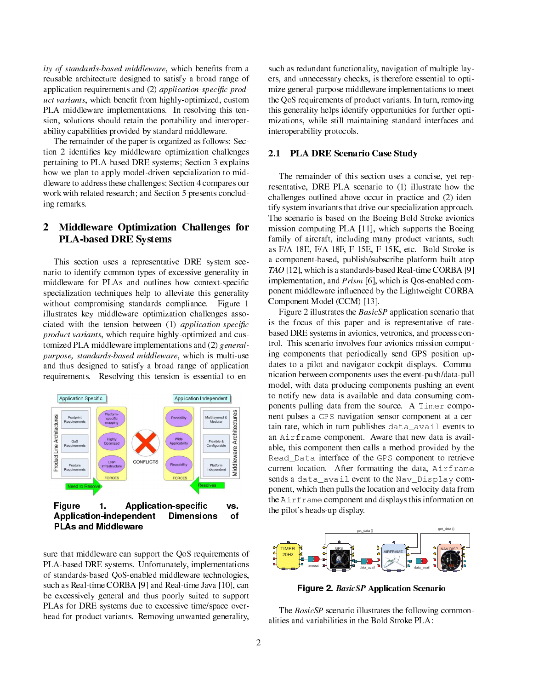ity of standards-based middleware, which benefits from a reusable architecture designed to satisfy a broad range of application requirements and (2) application-specific product variants, which benefit from highly-optimized, custom PLA middleware implementations. In resolving this tension, solutions should retain the portability and interoperability capabilities provided by standard middleware.

The remainder of the paper is organized as follows: Section 2 identifies key middleware optimization challenges pertaining to PLA-based DRE systems; Section 3 explains how we plan to apply model-driven sepcialization to middleware to address these challenges; Section 4 compares our work with related research; and Section 5 presents concluding remarks.

## 2 Middleware Optimization Challenges for PLA-based DRE Systems

This section uses a representative DRE system scenario to identify common types of excessive generality in middleware for PLAs and outlines how context-specific specialization techniques help to alleviate this generality without compromising standards compliance. Figure 1 illustrates key middleware optimization challenges associated with the tension between  $(1)$  application-specific product variants, which require highly-optimized and customized PLA middleware implementations and (2) generalpurpose, standards-based middleware, which is multi-use and thus designed to satisfy a broad range of application requirements. Resolving this tension is essential to en-



sure that middleware can support the QoS requirements of PLA-based DRE systems. Unfortunately, implementations of standards-based QoS-enabled middleware technologies, such as Real-time CORBA [9] and Real-time Java [10], can be excessively general and thus poorly suited to support PLAs for DRE systems due to excessive time/space overhead for product variants. Removing unwanted generality,

such as redundant functionality, navigation of multiple layers, and unnecessary checks, is therefore essential to optimize general-purpose middleware implementations to meet the QoS requirements of product variants. In turn, removing this generality helps identify opportunities for further optimizations, while still maintaining standard interfaces and interoperability protocols.

#### 2.1 PLA DRE Scenario Case Study

The remainder of this section uses a concise, yet representative, DRE PLA scenario to (1) illustrate how the challenges outlined above occur in practice and (2) identify system invariants that drive our specialization approach. The scenario is based on the Boeing Bold Stroke avionics mission computing PLA [11], which supports the Boeing family of aircraft, including many product variants, such as F/A-18E, F/A-18F, F-15E, F-15K, etc. Bold Stroke is a component-based, publish/subscribe platform built atop TAO [12], which is a standards-based Real-time CORBA [9] implementation, and Prism [6], which is Qos-enabled component middleware influenced by the Lightweight CORBA Component Model (CCM) [13].

Figure 2 illustrates the BasicSP application scenario that is the focus of this paper and is representative of ratebased DRE systems in avionics, vetronics, and process control. This scenario involves four avionics mission computing components that periodically send GPS position updates to a pilot and navigator cockpit displays. Communication between components uses the event-push/data-pull model, with data producing components pushing an event to notify new data is available and data consuming components pulling data from the source. A Timer component pulses a GPS navigation sensor component at a certain rate, which in turn publishes data\_avail events to an Airframe component. Aware that new data is available, this component then calls a method provided by the Read\_Data interface of the GPS component to retrieve current location. After formatting the data, Airframe sends a data\_avail event to the Nav\_Display component, which then pulls the location and velocity data from the Airframe component and displays this information on the pilot's heads-up display.



Figure 2. BasicSP Application Scenario

The *BasicSP* scenario illustrates the following commonalities and variabilities in the Bold Stroke PLA: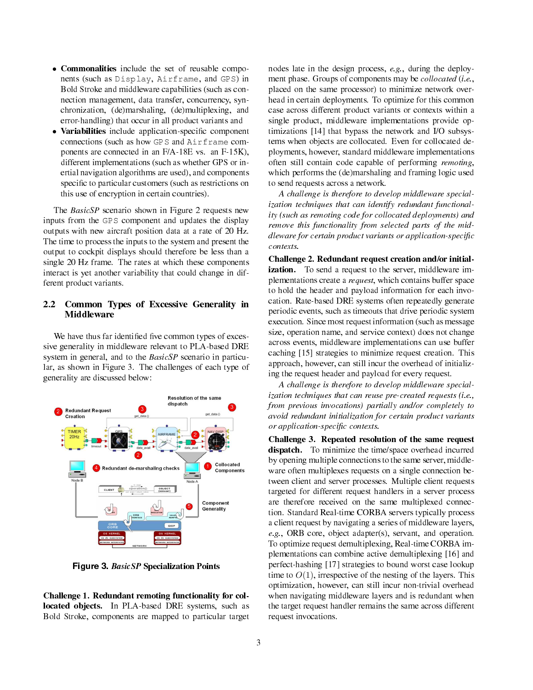- **Commonalities** include the set of reusable components (such as Display, Airframe, and GPS) in Bold Stroke and middleware capabilities (such as connection management, data transfer, concurrency, synchronization, (de)marshaling, (de)multiplexing, and error-handling) that occur in all product variants and
- Variabilities include application-specific component connections (such as how GPS and Airframe components are connected in an F/A-18E vs. an F-15K), different implementations (such as whether GPS or inertial navigation algorithms are used), and components specific to particular customers (such as restrictions on this use of encryption in certain countries).

The BasicSP scenario shown in Figure 2 requests new inputs from the GPS component and updates the display outputs with new aircraft position data at a rate of 20 Hz. The time to process the inputs to the system and present the output to cockpit displays should therefore be less than a single 20 Hz frame. The rates at which these components interact is yet another variability that could change in different product variants.

## 2.2 Common Types of Excessive Generality in Middleware

We have thus far identified five common types of excessive generality in middleware relevant to PLA-based DRE system in general, and to the  $BasicSP$  scenario in particular, as shown in Figure 3. The challenges of each type of generality are discussed below:



Figure 3. BasicSP Specialization Points

Challenge 1. Redundant remoting functionality for collocated objects. In PLA-based DRE systems, such as Bold Stroke, components are mapped to particular target

nodes late in the design process, e.g., during the deployment phase. Groups of components may be collocated (i.e., placed on the same processor) to minimize network overhead in certain deployments. To optimize for this common case across different product variants or contexts within a single product, middleware implementations provide optimizations [14] that bypass the network and I/O subsystems when objects are collocated. Even for collocated deployments, however, standard middleware implementations often still contain code capable of performing remoting, which performs the (de)marshaling and framing logic used to send requests across a network.

A challenge is therefore to develop middleware specialization techniques that can identify redundant functionality (such as remoting code for collocated deployments) and remove this functionality from selected parts of the middleware for certain product variants or application-specific contexts.

Challenge 2. Redundant request creation and/or initialization. To send a request to the server, middleware implementations create a request, which contains buffer space to hold the header and payload information for each invocation. Rate-based DRE systems often repeatedly generate periodic events, such as timeouts that drive periodic system execution. Since most request information (such as message size, operation name, and service context) does not change across events, middleware implementations can use buffer caching [15] strategies to minimize request creation. This approach, however, can still incur the overhead of initializing the request header and payload for every request.

A challenge is therefore to develop middleware specialization techniques that can reuse pre-created requests (i.e., from previous invocations) partially and/or completely to avoid redundant initialization for certain product variants or application-specific contexts.

Challenge 3. Repeated resolution of the same request dispatch. To minimize the time/space overhead incurred by opening multiple connections to the same server, middleware often multiplexes requests on a single connection between client and server processes. Multiple client requests targeted for different request handlers in a server process are therefore received on the same multiplexed connection. Standard Real-time CORBA servers typically process a client request by navigating a series of middleware layers, e.g., ORB core, object adapter(s), servant, and operation. To optimize request demultiplexing, Real-time CORBA implementations can combine active demultiplexing [16] and perfect-hashing [17] strategies to bound worst case lookup time to  $O(1)$ , irrespective of the nesting of the layers. This optimization, however, can still incur non-trivial overhead when navigating middleware layers and is redundant when the target request handler remains the same across different request invocations.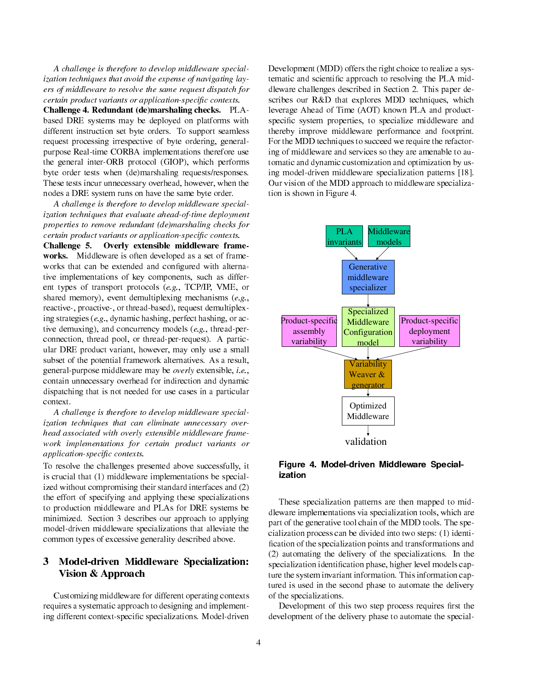A challenge is therefore to develop middleware specialization techniques that avoid the expense of navigating layers of middleware to resolve the same request dispatch for certain product variants or application-specific contexts.

Challenge 4. Redundant (de)marshaling checks. PLAbased DRE systems may be deployed on platforms with different instruction set byte orders. To support seamless request processing irrespective of byte ordering, generalpurpose Real-time CORBA implementations therefore use the general inter-ORB protocol (GIOP), which performs byte order tests when (de)marshaling requests/responses. These tests incur unnecessary overhead, however, when the nodes a DRE system runs on have the same byte order.

A challenge is therefore to develop middleware specialization techniques that evaluate ahead-of-time deployment properties to remove redundant (de)marshaling checks for certain product variants or application-specific contexts.

Challenge 5. Overly extensible middleware frameworks. Middleware is often developed as a set of frameworks that can be extended and configured with alternative implementations of key components, such as different types of transport protocols (e.g., TCP/IP, VME, or shared memory), event demultiplexing mechanisms  $(e.g.,$ reactive-, proactive-, or thread-based), request demultiplexing strategies (e.g., dynamic hashing, perfect hashing, or active demuxing), and concurrency models (e.g., thread-perconnection, thread pool, or thread-per-request). A particular DRE product variant, however, may only use a small subset of the potential framework alternatives. As a result, general-purpose middleware may be overly extensible, i.e., contain unnecessary overhead for indirection and dynamic dispatching that is not needed for use cases in a particular context.

A challenge is therefore to develop middleware specialization techniques that can eliminate unnecessary overhead associated with overly extensible middleware framework implementations for certain product variants or application-specific contexts.

To resolve the challenges presented above successfully, it is crucial that (1) middleware implementations be specialized without compromising their standard interfaces and (2) the effort of specifying and applying these specializations to production middleware and PLAs for DRE systems be minimized. Section 3 describes our approach to applying model-driven middleware specializations that alleviate the common types of excessive generality described above.

# 3 Model-driven Middleware Specialization: Vision & Approach

Customizing middleware for different operating contexts requires a systematic approach to designing and implementing different context-specific specializations. Model-driven

Development (MDD) offers the right choice to realize a systematic and scientific approach to resolving the PLA middleware challenges described in Section 2. This paper describes our R&D that explores MDD techniques, which leverage Ahead of Time (AOT) known PLA and productspecific system properties, to specialize middleware and thereby improve middleware performance and footprint. For the MDD techniques to succeed we require the refactoring of middleware and services so they are amenable to automatic and dynamic customization and optimization by using model-driven middleware specialization patterns [18]. Our vision of the MDD approach to middleware specialization is shown in Figure 4.



Figure 4. Model-driven Middleware Specialization

These specialization patterns are then mapped to middleware implementations via specialization tools, which are part of the generative tool chain of the MDD tools. The specialization process can be divided into two steps: (1) identi fication of the specialization points and transformations and (2) automating the delivery of the specializations. In the specialization identification phase, higher level models capture the system invariant information. This information captured is used in the second phase to automate the delivery of the specializations.

Development of this two step process requires first the development of the delivery phase to automate the special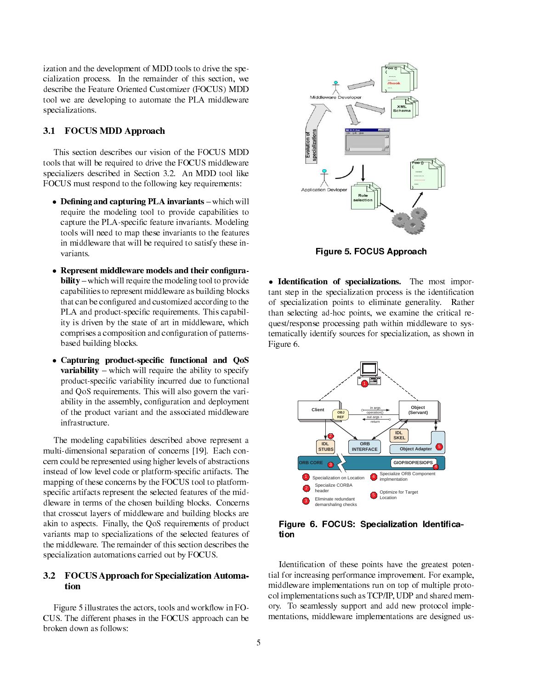ization and the development of MDD tools to drive the specialization process. In the remainder of this section, we describe the Feature Oriented Customizer (FOCUS) MDD tool we are developing to automate the PLA middleware specializations.

## 3.1 FOCUS MDD Approach

This section describes our vision of the FOCUS MDD tools that will be required to drive the FOCUS middleware specializers described in Section 3.2. An MDD tool like FOCUS must respond to the following key requirements:

- Defining and capturing PLA invariants which will require the modeling tool to provide capabilities to capture the PLA-specific feature invariants. Modeling tools will need to map these invariants to the features in middleware that will be required to satisfy these invariants.
- Represent middleware models and their configurability – which will require the modeling tool to provide capabilities to represent middleware as building blocks that can be configured and customized according to the PLA and product-specific requirements. This capability is driven by the state of art in middleware, which comprises a composition and configuration of patternsbased building blocks.
- Capturing product-specific functional and QoS **variability**  $-$  which will require the ability to specify product-specific variability incurred due to functional and QoS requirements. This will also govern the variability in the assembly, configuration and deployment of the product variant and the associated middleware infrastructure.

The modeling capabilities described above represent a multi-dimensional separation of concerns [19]. Each concern could be represented using higher levels of abstractions instead of low level code or platform-specific artifacts. The mapping of these concerns by the FOCUS tool to platformspecific artifacts represent the selected features of the middleware in terms of the chosen building blocks. Concerns that crosscut layers of middleware and building blocks are akin to aspects. Finally, the QoS requirements of product variants map to specializations of the selected features of the middleware. The remainder of this section describes the specialization automations carried out by FOCUS.

## 3.2 FOCUS Approach for Specialization Automation

Figure 5 illustrates the actors, tools and workflow in FO-CUS. The different phases in the FOCUS approach can be broken down as follows:



Figure 5. FOCUS Approach

. Identification of specializations. The most important step in the specialization process is the identification of specialization points to eliminate generality. Rather than selecting ad-hoc points, we examine the critical request/response processing path within middleware to systematically identify sources for specialization, as shown in Figure 6.



Figure 6. FOCUS: Specialization Identification

Identification of these points have the greatest potential for increasing performance improvement. For example, middleware implementations run on top of multiple protocol implementations such as TCP/IP, UDP and shared memory. To seamlessly support and add new protocol implementations, middleware implementations are designed us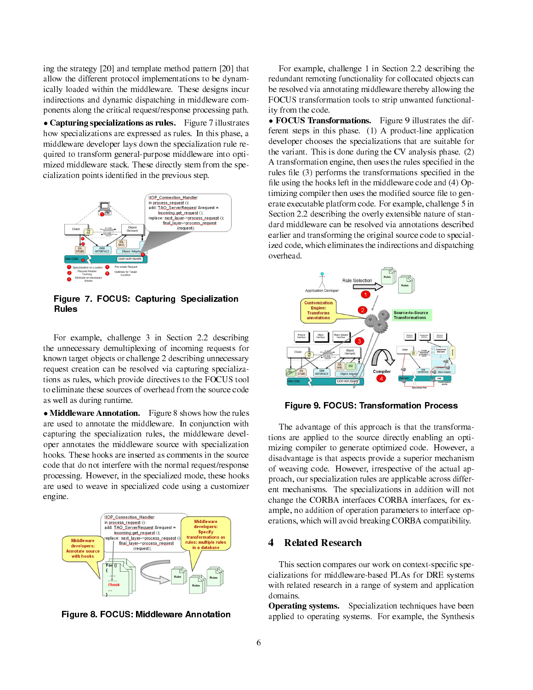ing the strategy [20] and template method pattern [20] that allow the different protocol implementations to be dynamically loaded within the middleware. These designs incur indirections and dynamic dispatching in middleware components along the critical request/response processing path.

• Capturing specializations as rules. Figure 7 illustrates how specializations are expressed as rules. In this phase, a middleware developer lays down the specialization rule required to transform general-purpose middleware into optimized middleware stack. These directly stem from the specialization points identified in the previous step.



Figure 7. FOCUS: Capturing Specialization Rules

For example, challenge 3 in Section 2.2 describing the unnecessary demultiplexing of incoming requests for known target objects or challenge 2 describing unnecessary request creation can be resolved via capturing specializations as rules, which provide directives to the FOCUS tool to eliminate these sources of overhead from the source code as well as during runtime.

• Middleware Annotation. Figure 8 shows how the rules are used to annotate the middleware. In conjunction with capturing the specialization rules, the middleware developer annotates the middleware source with specialization hooks. These hooks are inserted as comments in the source code that do not interfere with the normal request/response processing. However, in the specialized mode, these hooks are used to weave in specialized code using a customizer engine.



Figure 8. FOCUS: Middleware Annotation

For example, challenge 1 in Section 2.2 describing the redundant remoting functionality for collocated objects can be resolved via annotating middleware thereby allowing the FOCUS transformation tools to strip unwanted functionality from the code.

• FOCUS Transformations. Figure 9 illustrates the different steps in this phase. (1) A product-line application developer chooses the specializations that are suitable for the variant. This is done during the CV analysis phase. (2) A transformation engine, then uses the rules specified in the rules file (3) performs the transformations specified in the file using the hooks left in the middleware code and (4) Optimizing compiler then uses the modified source file to generate executable platform code. For example, challenge 5 in Section 2.2 describing the overly extensible nature of standard middleware can be resolved via annotations described earlier and transforming the original source code to specialized code, which eliminates the indirections and dispatching overhead.



Figure 9. FOCUS: Transformation Process

The advantage of this approach is that the transformations are applied to the source directly enabling an optimizing compiler to generate optimized code. However, a disadvantage is that aspects provide a superior mechanism of weaving code. However, irrespective of the actual approach, our specialization rules are applicable across different mechanisms. The specializations in addition will not change the CORBA interfaces CORBA interfaces, for example, no addition of operation parameters to interface operations, which will avoid breaking CORBA compatibility.

#### 4 Related Research

This section compares our work on context-specific specializations for middleware-based PLAs for DRE systems with related research in a range of system and application domains.

Operating systems. Specialization techniques have been applied to operating systems. For example, the Synthesis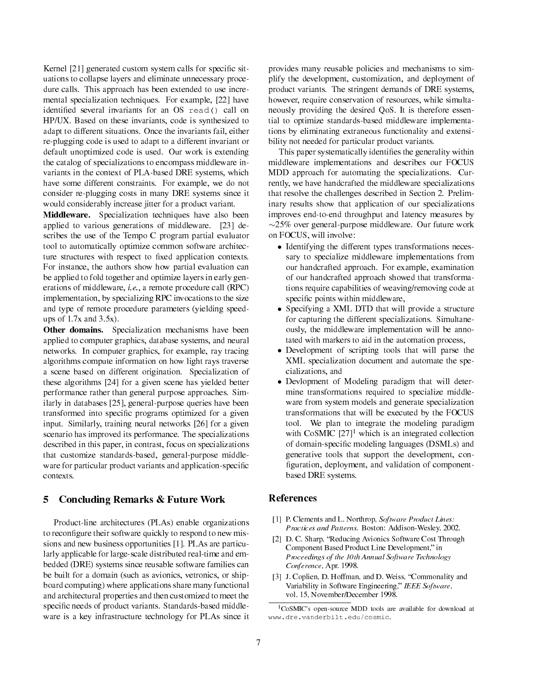Kernel [21] generated custom system calls for specific situations to collapse layers and eliminate unnecessary procedure calls. This approach has been extended to use incremental specialization techniques. For example, [22] have identified several invariants for an OS read() call on HP/UX. Based on these invariants, code is synthesized to adapt to different situations. Once the invariants fail, either re-plugging code is used to adapt to a different invariant or default unoptimized code is used. Our work is extending the catalog of specializations to encompass middleware invariants in the context of PLA-based DRE systems, which have some different constraints. For example, we do not consider re-plugging costs in many DRE systems since it would considerably increase jitter for a product variant.

Middleware. Specialization techniques have also been applied to various generations of middleware. [23] describes the use of the Tempo C program partial evaluator tool to automatically optimize common software architecture structures with respect to fixed application contexts. For instance, the authors show how partial evaluation can be applied to fold together and optimize layers in early generations of middleware, i.e., a remote procedure call (RPC) implementation, by specializing RPC invocations to the size and type of remote procedure parameters (yielding speedups of  $1.7x$  and  $3.5x$ ).

Other domains. Specialization mechanisms have been applied to computer graphics, database systems, and neural networks. In computer graphics, for example, ray tracing algorithms compute information on how light rays traverse a scene based on different origination. Specialization of these algorithms [24] for a given scene has yielded better performance rather than general purpose approaches. Similarly in databases [25], general-purpose queries have been transformed into specific programs optimized for a given input. Similarly, training neural networks [26] for a given scenario has improved its performance. The specializations described in this paper, in contrast, focus on specializations that customize standards-based, general-purpose middleware for particular product variants and application-specific contexts.

## 5 Concluding Remarks & Future Work

Product-line architectures (PLAs) enable organizations to reconfigure their software quickly to respond to new missions and new business opportunities [1]. PLAs are particularly applicable for large-scale distributed real-time and embedded (DRE) systems since reusable software families can be built for a domain (such as avionics, vetronics, or shipboard computing) where applications share many functional and architectural properties and then customized to meet the specific needs of product variants. Standards-based middleware is a key infrastructure technology for PLAs since it

provides many reusable policies and mechanisms to simplify the development, customization, and deployment of product variants. The stringent demands of DRE systems, however, require conservation of resources, while simultaneously providing the desired QoS. It is therefore essential to optimize standards-based middleware implementations by eliminating extraneous functionality and extensibility not needed for particular product variants.

This paper systematically identifies the generality within middleware implementations and describes our FOCUS MDD approach for automating the specializations. Currently, we have handcrafted the middleware specializations that resolve the challenges described in Section 2. Preliminary results show that application of our specializations improves end-to-end throughput and latency measures by ∼25% over general-purpose middleware. Our future work on FOCUS, will involve:

- Identifying the different types transformations necessary to specialize middleware implementations from our handcrafted approach. For example, examination of our handcrafted approach showed that transformations require capabilities of weaving/removing code at specific points within middleware,
- Specifying a XML DTD that will provide a structure for capturing the different specializations. Simultaneously, the middleware implementation will be annotated with markers to aid in the automation process,
- Development of scripting tools that will parse the XML specialization document and automate the specializations, and
- Devlopment of Modeling paradigm that will determine transformations required to specialize middleware from system models and generate specialization transformations that will be executed by the FOCUS tool. We plan to integrate the modeling paradigm with  $CoSMIC$  [27]<sup>1</sup> which is an integrated collection of domain-specific modeling languages (DSMLs) and generative tools that support the development, con figuration, deployment, and validation of componentbased DRE systems.

#### References

- [1] P. Clements and L. Northrop, Software Product Lines: Practices and Patterns. Boston: Addison-Wesley, 2002.
- [2] D. C. Sharp, "Reducing Avionics Software Cost Through Component Based Product Line Development," in Proceedings of the 10th Annual Software Technology Conference, Apr. 1998.
- [3] J. Coplien, D. Hoffman, and D. Weiss, "Commonality and Variability in Software Engineering," IEEE Software, vol. 15, November/December 1998.

<sup>1</sup>CoSMIC's open-source MDD tools are available for download at www.dre.vanderbilt.edu/cosmic.